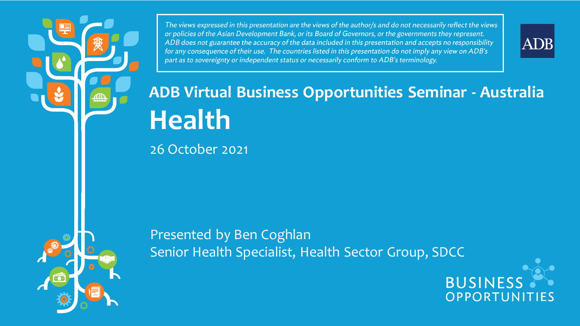The views expressed in this presentation are the views of the author/s and do not necessarily reflect the views or policies of the Asian Development Bank, or its Board of Governors, or the governments they represent. ADB does not guarantee the accuracy of the data included in this presentation and accepts no responsibility for any consequence of their use. The countries listed in this presentation do not imply any view on ADB's part as to sovereignty or independent status or necessarily conform to ADB's terminology.



## **ADB Virtual Business Opportunities Seminar - Australia Health**

26 October 2021



Presented by Ben Coghlan Senior Health Specialist, Health Sector Group, SDCC

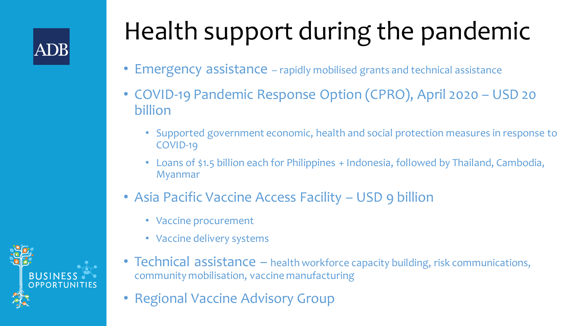

# Health support during the pandemic

- Emergency assistance rapidly mobilised grants and technical assistance
- COVID-19 Pandemic Response Option (CPRO), April 2020 USD 20 billion
	- Supported government economic, health and social protection measures in response to COVID-19
	- Loans of \$1.5 billion each for Philippines + Indonesia, followed by Thailand, Cambodia, Myanmar
- Asia Pacific Vaccine Access Facility USD 9 billion
	- Vaccine procurement
	- Vaccine delivery systems
- Technical assistance health workforce capacity building, risk communications, community mobilisation, vaccine manufacturing
- Regional Vaccine Advisory Group

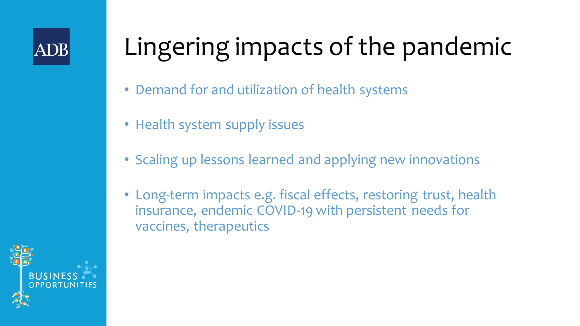# Lingering impacts of the pandemic

- Demand for and utilization of health systems
- Health system supply issues
- Scaling up lessons learned and applying new innovations
- Long-term impacts e.g. fiscal effects, restoring trust, health insurance, endemic COVID-19 with persistent needs for vaccines, therapeutics

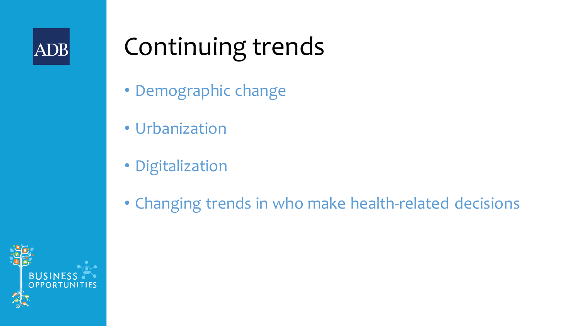

# Continuing trends

- Demographic change
- Urbanization
- Digitalization
- Changing trends in who make health-related decisions

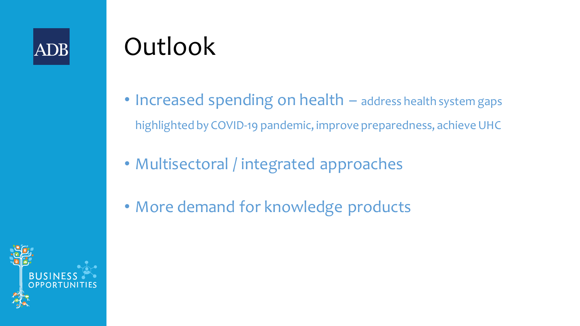## **Outlook**

- Increased spending on health address health system gaps highlighted by COVID-19 pandemic, improve preparedness, achieve UHC
- Multisectoral / integrated approaches
- More demand for knowledge products

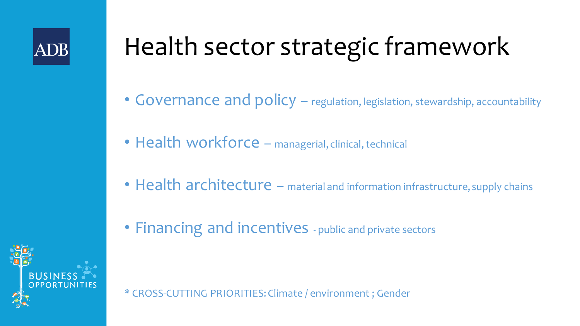# Health sector strategic framework

- Governance and policy regulation, legislation, stewardship, accountability
- Health workforce managerial, clinical, technical
- Health architecture material and information infrastructure, supply chains
- Financing and incentives public and private sectors

\* CROSS-CUTTING PRIORITIES: Climate / environment ; Gender

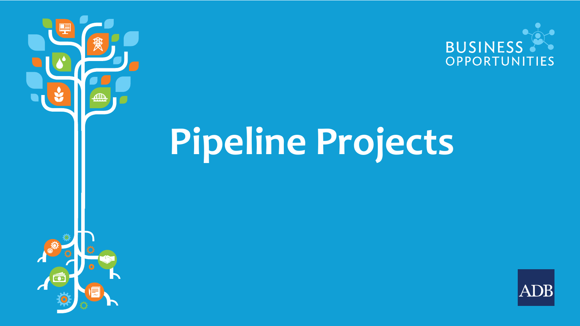

# **Pipeline Projects**

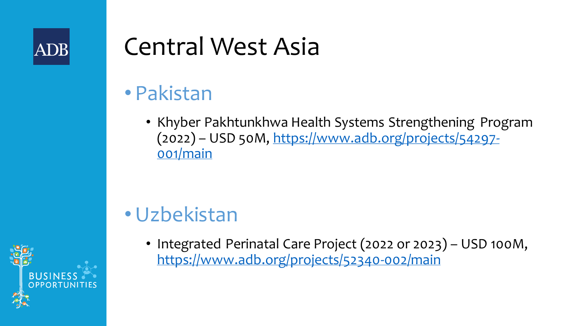

## Central West Asia

#### • Pakistan

• Khyber Pakhtunkhwa Health Systems Strengthening Program (2022) – [USD 50M, https://www.adb.org/projects/54297-](https://www.adb.org/projects/54297-001/main) 001/main

#### •Uzbekistan



• Integrated Perinatal Care Project (2022 or 2023) – USD 100M, <https://www.adb.org/projects/52340-002/main>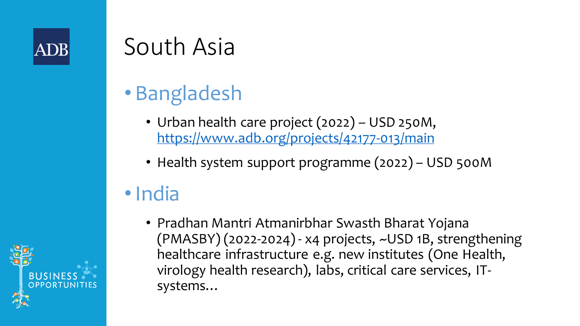

## South Asia

#### • Bangladesh

- Urban health care project (2022) USD 250M, <https://www.adb.org/projects/42177-013/main>
- Health system support programme (2022) USD 500M

### •India

• Pradhan Mantri Atmanirbhar Swasth Bharat Yojana (PMASBY) (2022-2024) - x4 projects, ~USD 1B, strengthening healthcare infrastructure e.g. new institutes (One Health, virology health research), labs, critical care services, ITsystems…

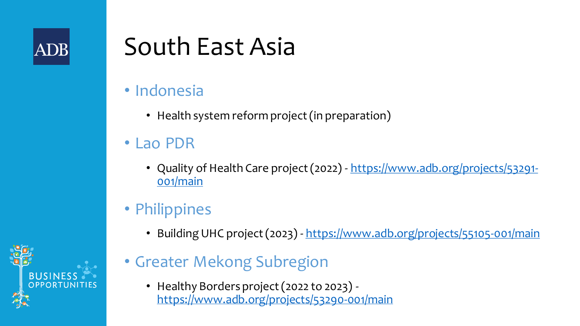## South East Asia

- Indonesia
	- Health system reform project (in preparation)
- Lao PDR
	- [Quality of Health Care project \(2022\) -](https://www.adb.org/projects/53291-001/main) https://www.adb.org/projects/53291-001/main
- Philippines
	- Building UHC project (2023) <https://www.adb.org/projects/55105-001/main>
- Greater Mekong Subregion
	- Healthy Borders project (2022 to 2023) <https://www.adb.org/projects/53290-001/main>

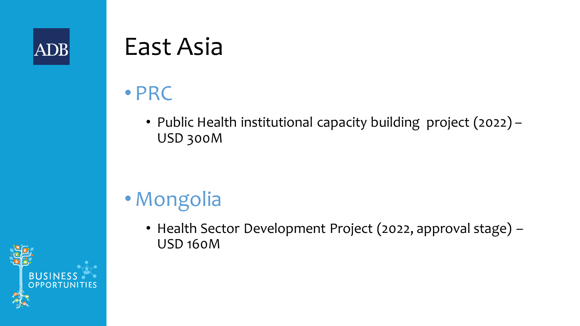

## East Asia

### • PRC

• Public Health institutional capacity building project (2022) – USD 300M

- Mongolia
	- Health Sector Development Project (2022, approval stage) USD 160M

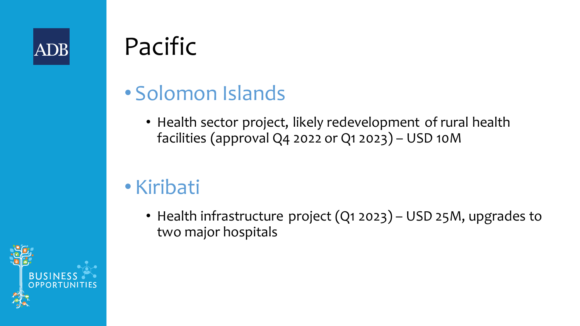

# Pacific

#### • Solomon Islands

• Health sector project, likely redevelopment of rural health facilities (approval Q4 2022 or Q1 2023) – USD 10M

#### • Kiribati

• Health infrastructure project (Q1 2023) – USD 25M, upgrades to two major hospitals